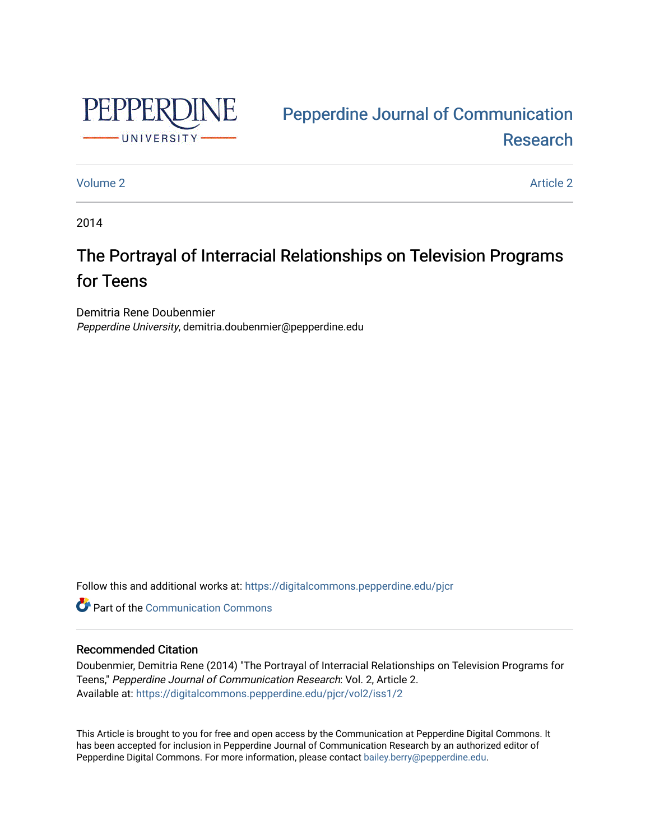

# [Pepperdine Journal of Communication](https://digitalcommons.pepperdine.edu/pjcr)  [Research](https://digitalcommons.pepperdine.edu/pjcr)

# [Volume 2](https://digitalcommons.pepperdine.edu/pjcr/vol2) Article 2

2014

# The Portrayal of Interracial Relationships on Television Programs for Teens

Demitria Rene Doubenmier Pepperdine University, demitria.doubenmier@pepperdine.edu

Follow this and additional works at: [https://digitalcommons.pepperdine.edu/pjcr](https://digitalcommons.pepperdine.edu/pjcr?utm_source=digitalcommons.pepperdine.edu%2Fpjcr%2Fvol2%2Fiss1%2F2&utm_medium=PDF&utm_campaign=PDFCoverPages)

**C** Part of the Communication Commons

## Recommended Citation

Doubenmier, Demitria Rene (2014) "The Portrayal of Interracial Relationships on Television Programs for Teens," Pepperdine Journal of Communication Research: Vol. 2, Article 2. Available at: [https://digitalcommons.pepperdine.edu/pjcr/vol2/iss1/2](https://digitalcommons.pepperdine.edu/pjcr/vol2/iss1/2?utm_source=digitalcommons.pepperdine.edu%2Fpjcr%2Fvol2%2Fiss1%2F2&utm_medium=PDF&utm_campaign=PDFCoverPages) 

This Article is brought to you for free and open access by the Communication at Pepperdine Digital Commons. It has been accepted for inclusion in Pepperdine Journal of Communication Research by an authorized editor of Pepperdine Digital Commons. For more information, please contact [bailey.berry@pepperdine.edu](mailto:bailey.berry@pepperdine.edu).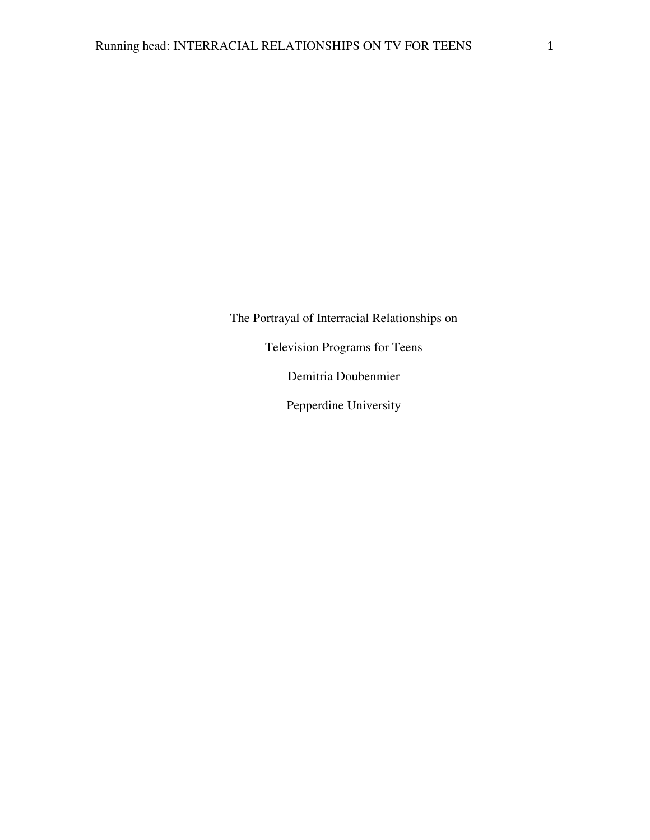The Portrayal of Interracial Relationships on

Television Programs for Teens

Demitria Doubenmier

Pepperdine University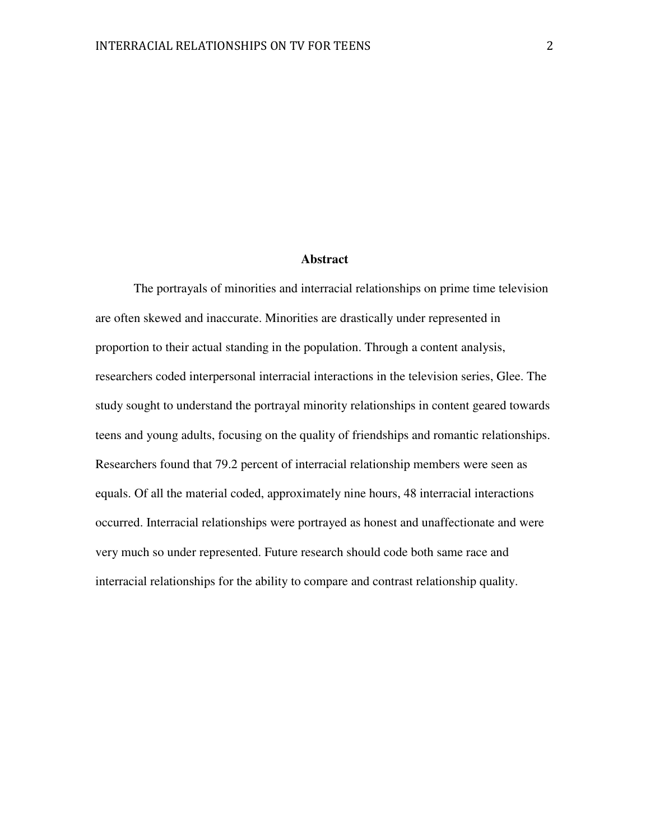#### **Abstract**

 The portrayals of minorities and interracial relationships on prime time television are often skewed and inaccurate. Minorities are drastically under represented in proportion to their actual standing in the population. Through a content analysis, researchers coded interpersonal interracial interactions in the television series, Glee. The study sought to understand the portrayal minority relationships in content geared towards teens and young adults, focusing on the quality of friendships and romantic relationships. Researchers found that 79.2 percent of interracial relationship members were seen as equals. Of all the material coded, approximately nine hours, 48 interracial interactions occurred. Interracial relationships were portrayed as honest and unaffectionate and were very much so under represented. Future research should code both same race and interracial relationships for the ability to compare and contrast relationship quality.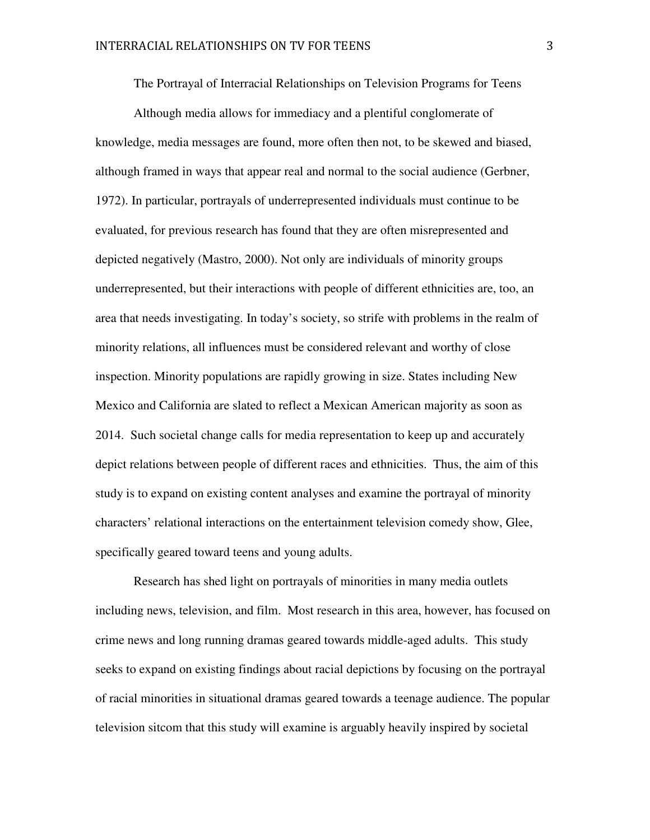The Portrayal of Interracial Relationships on Television Programs for Teens

Although media allows for immediacy and a plentiful conglomerate of knowledge, media messages are found, more often then not, to be skewed and biased, although framed in ways that appear real and normal to the social audience (Gerbner, 1972). In particular, portrayals of underrepresented individuals must continue to be evaluated, for previous research has found that they are often misrepresented and depicted negatively (Mastro, 2000). Not only are individuals of minority groups underrepresented, but their interactions with people of different ethnicities are, too, an area that needs investigating. In today's society, so strife with problems in the realm of minority relations, all influences must be considered relevant and worthy of close inspection. Minority populations are rapidly growing in size. States including New Mexico and California are slated to reflect a Mexican American majority as soon as 2014. Such societal change calls for media representation to keep up and accurately depict relations between people of different races and ethnicities. Thus, the aim of this study is to expand on existing content analyses and examine the portrayal of minority characters' relational interactions on the entertainment television comedy show, Glee, specifically geared toward teens and young adults.

Research has shed light on portrayals of minorities in many media outlets including news, television, and film. Most research in this area, however, has focused on crime news and long running dramas geared towards middle-aged adults. This study seeks to expand on existing findings about racial depictions by focusing on the portrayal of racial minorities in situational dramas geared towards a teenage audience. The popular television sitcom that this study will examine is arguably heavily inspired by societal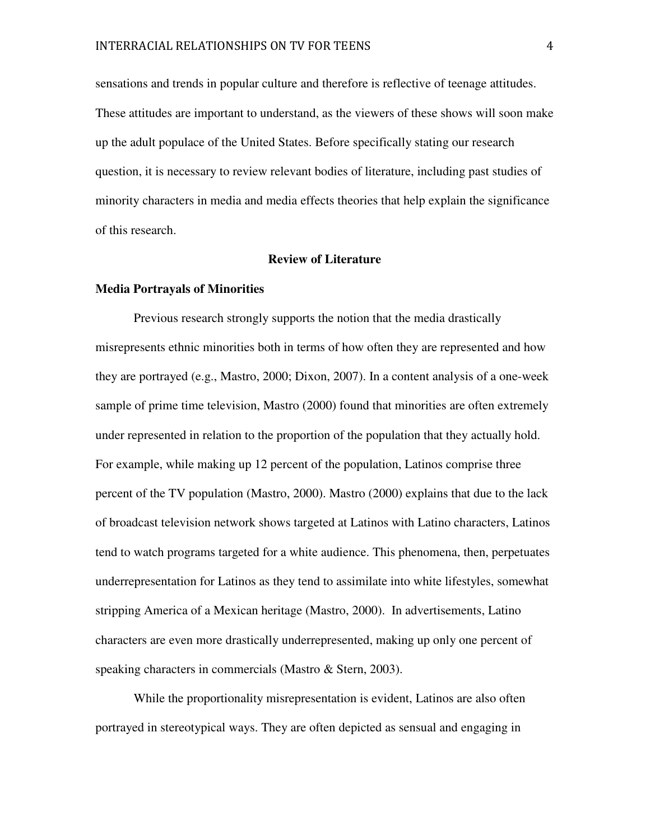sensations and trends in popular culture and therefore is reflective of teenage attitudes. These attitudes are important to understand, as the viewers of these shows will soon make up the adult populace of the United States. Before specifically stating our research question, it is necessary to review relevant bodies of literature, including past studies of minority characters in media and media effects theories that help explain the significance of this research.

#### **Review of Literature**

### **Media Portrayals of Minorities**

 Previous research strongly supports the notion that the media drastically misrepresents ethnic minorities both in terms of how often they are represented and how they are portrayed (e.g., Mastro, 2000; Dixon, 2007). In a content analysis of a one-week sample of prime time television, Mastro (2000) found that minorities are often extremely under represented in relation to the proportion of the population that they actually hold. For example, while making up 12 percent of the population, Latinos comprise three percent of the TV population (Mastro, 2000). Mastro (2000) explains that due to the lack of broadcast television network shows targeted at Latinos with Latino characters, Latinos tend to watch programs targeted for a white audience. This phenomena, then, perpetuates underrepresentation for Latinos as they tend to assimilate into white lifestyles, somewhat stripping America of a Mexican heritage (Mastro, 2000). In advertisements, Latino characters are even more drastically underrepresented, making up only one percent of speaking characters in commercials (Mastro & Stern, 2003).

While the proportionality misrepresentation is evident, Latinos are also often portrayed in stereotypical ways. They are often depicted as sensual and engaging in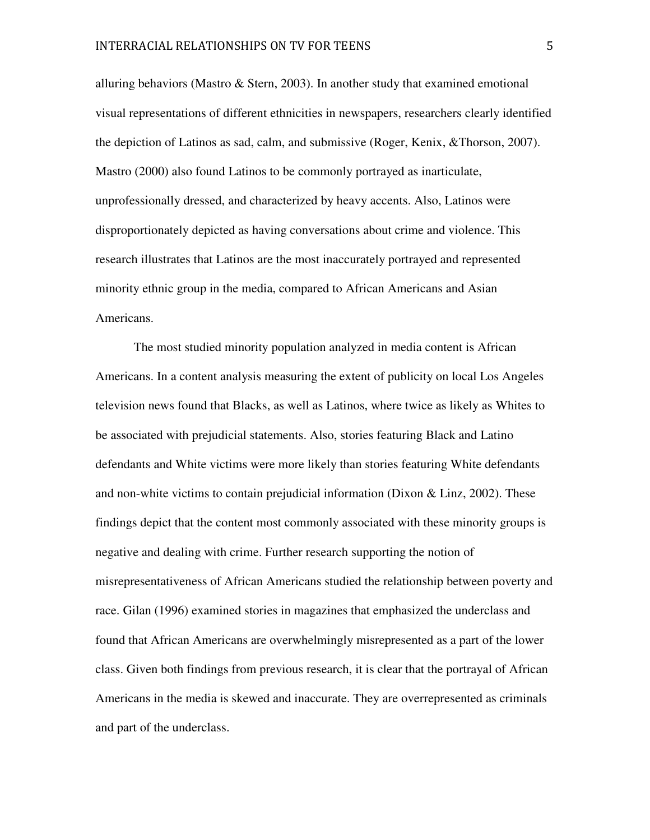alluring behaviors (Mastro  $&$  Stern, 2003). In another study that examined emotional visual representations of different ethnicities in newspapers, researchers clearly identified the depiction of Latinos as sad, calm, and submissive (Roger, Kenix, &Thorson, 2007). Mastro (2000) also found Latinos to be commonly portrayed as inarticulate, unprofessionally dressed, and characterized by heavy accents. Also, Latinos were disproportionately depicted as having conversations about crime and violence. This research illustrates that Latinos are the most inaccurately portrayed and represented minority ethnic group in the media, compared to African Americans and Asian Americans.

 The most studied minority population analyzed in media content is African Americans. In a content analysis measuring the extent of publicity on local Los Angeles television news found that Blacks, as well as Latinos, where twice as likely as Whites to be associated with prejudicial statements. Also, stories featuring Black and Latino defendants and White victims were more likely than stories featuring White defendants and non-white victims to contain prejudicial information (Dixon & Linz, 2002). These findings depict that the content most commonly associated with these minority groups is negative and dealing with crime. Further research supporting the notion of misrepresentativeness of African Americans studied the relationship between poverty and race. Gilan (1996) examined stories in magazines that emphasized the underclass and found that African Americans are overwhelmingly misrepresented as a part of the lower class. Given both findings from previous research, it is clear that the portrayal of African Americans in the media is skewed and inaccurate. They are overrepresented as criminals and part of the underclass.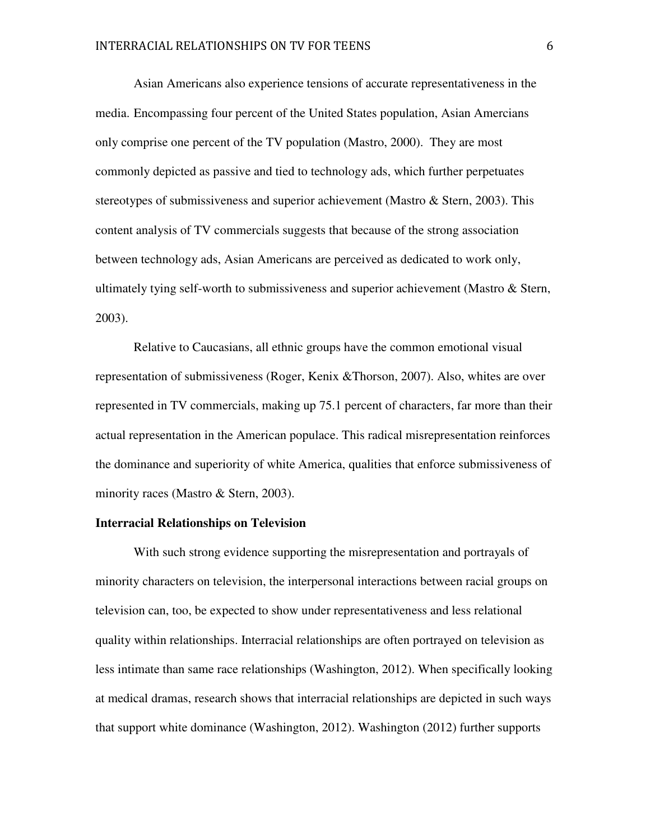Asian Americans also experience tensions of accurate representativeness in the media. Encompassing four percent of the United States population, Asian Amercians only comprise one percent of the TV population (Mastro, 2000). They are most commonly depicted as passive and tied to technology ads, which further perpetuates stereotypes of submissiveness and superior achievement (Mastro & Stern, 2003). This content analysis of TV commercials suggests that because of the strong association between technology ads, Asian Americans are perceived as dedicated to work only, ultimately tying self-worth to submissiveness and superior achievement (Mastro  $\&$  Stern, 2003).

Relative to Caucasians, all ethnic groups have the common emotional visual representation of submissiveness (Roger, Kenix &Thorson, 2007). Also, whites are over represented in TV commercials, making up 75.1 percent of characters, far more than their actual representation in the American populace. This radical misrepresentation reinforces the dominance and superiority of white America, qualities that enforce submissiveness of minority races (Mastro & Stern, 2003).

## **Interracial Relationships on Television**

With such strong evidence supporting the misrepresentation and portrayals of minority characters on television, the interpersonal interactions between racial groups on television can, too, be expected to show under representativeness and less relational quality within relationships. Interracial relationships are often portrayed on television as less intimate than same race relationships (Washington, 2012). When specifically looking at medical dramas, research shows that interracial relationships are depicted in such ways that support white dominance (Washington, 2012). Washington (2012) further supports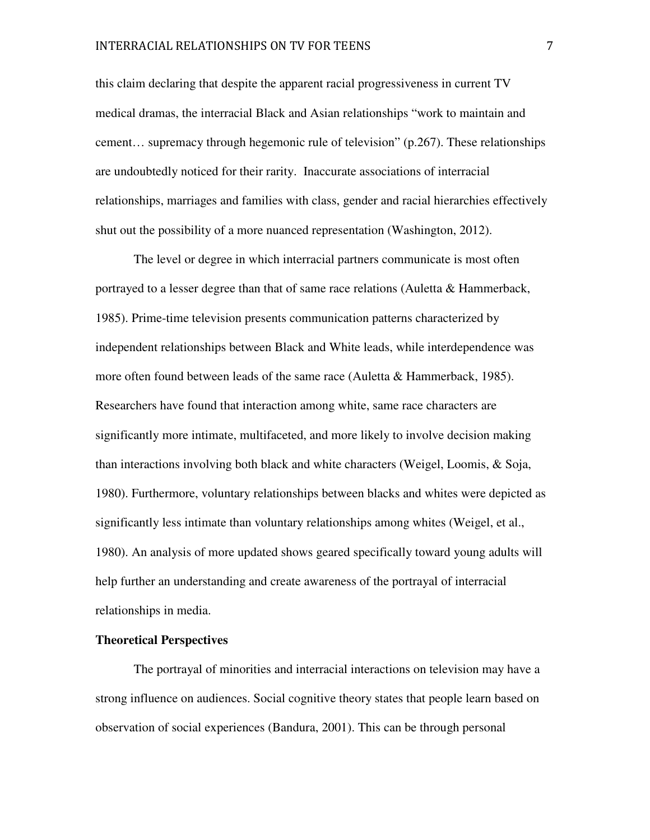this claim declaring that despite the apparent racial progressiveness in current TV medical dramas, the interracial Black and Asian relationships "work to maintain and cement… supremacy through hegemonic rule of television" (p.267). These relationships are undoubtedly noticed for their rarity. Inaccurate associations of interracial relationships, marriages and families with class, gender and racial hierarchies effectively shut out the possibility of a more nuanced representation (Washington, 2012).

 The level or degree in which interracial partners communicate is most often portrayed to a lesser degree than that of same race relations (Auletta & Hammerback, 1985). Prime-time television presents communication patterns characterized by independent relationships between Black and White leads, while interdependence was more often found between leads of the same race (Auletta & Hammerback, 1985). Researchers have found that interaction among white, same race characters are significantly more intimate, multifaceted, and more likely to involve decision making than interactions involving both black and white characters (Weigel, Loomis, & Soja, 1980). Furthermore, voluntary relationships between blacks and whites were depicted as significantly less intimate than voluntary relationships among whites (Weigel, et al., 1980). An analysis of more updated shows geared specifically toward young adults will help further an understanding and create awareness of the portrayal of interracial relationships in media.

## **Theoretical Perspectives**

The portrayal of minorities and interracial interactions on television may have a strong influence on audiences. Social cognitive theory states that people learn based on observation of social experiences (Bandura, 2001). This can be through personal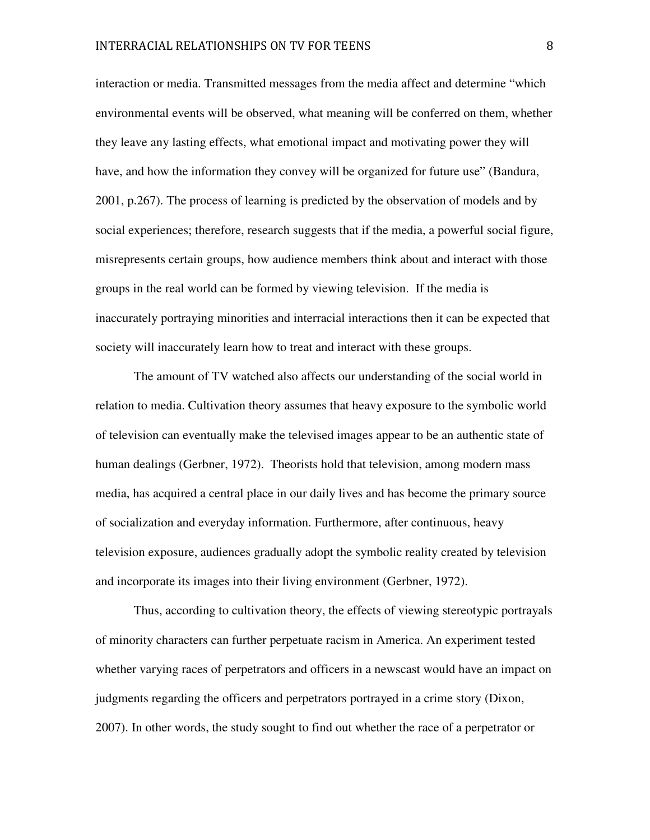interaction or media. Transmitted messages from the media affect and determine "which environmental events will be observed, what meaning will be conferred on them, whether they leave any lasting effects, what emotional impact and motivating power they will have, and how the information they convey will be organized for future use" (Bandura, 2001, p.267). The process of learning is predicted by the observation of models and by social experiences; therefore, research suggests that if the media, a powerful social figure, misrepresents certain groups, how audience members think about and interact with those groups in the real world can be formed by viewing television. If the media is inaccurately portraying minorities and interracial interactions then it can be expected that society will inaccurately learn how to treat and interact with these groups.

 The amount of TV watched also affects our understanding of the social world in relation to media. Cultivation theory assumes that heavy exposure to the symbolic world of television can eventually make the televised images appear to be an authentic state of human dealings (Gerbner, 1972). Theorists hold that television, among modern mass media, has acquired a central place in our daily lives and has become the primary source of socialization and everyday information. Furthermore, after continuous, heavy television exposure, audiences gradually adopt the symbolic reality created by television and incorporate its images into their living environment (Gerbner, 1972).

Thus, according to cultivation theory, the effects of viewing stereotypic portrayals of minority characters can further perpetuate racism in America. An experiment tested whether varying races of perpetrators and officers in a newscast would have an impact on judgments regarding the officers and perpetrators portrayed in a crime story (Dixon, 2007). In other words, the study sought to find out whether the race of a perpetrator or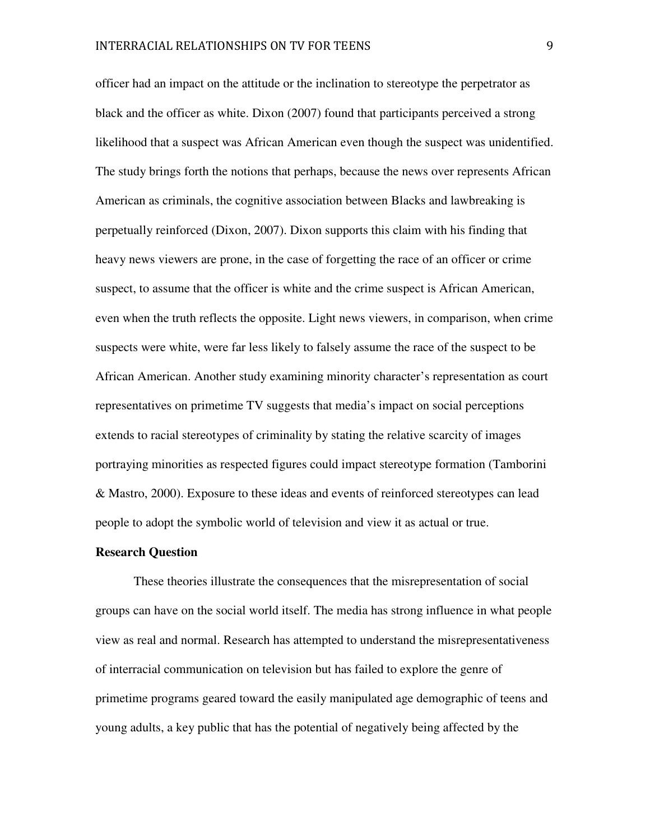officer had an impact on the attitude or the inclination to stereotype the perpetrator as black and the officer as white. Dixon (2007) found that participants perceived a strong likelihood that a suspect was African American even though the suspect was unidentified. The study brings forth the notions that perhaps, because the news over represents African American as criminals, the cognitive association between Blacks and lawbreaking is perpetually reinforced (Dixon, 2007). Dixon supports this claim with his finding that heavy news viewers are prone, in the case of forgetting the race of an officer or crime suspect, to assume that the officer is white and the crime suspect is African American, even when the truth reflects the opposite. Light news viewers, in comparison, when crime suspects were white, were far less likely to falsely assume the race of the suspect to be African American. Another study examining minority character's representation as court representatives on primetime TV suggests that media's impact on social perceptions extends to racial stereotypes of criminality by stating the relative scarcity of images portraying minorities as respected figures could impact stereotype formation (Tamborini & Mastro, 2000). Exposure to these ideas and events of reinforced stereotypes can lead people to adopt the symbolic world of television and view it as actual or true.

#### **Research Question**

These theories illustrate the consequences that the misrepresentation of social groups can have on the social world itself. The media has strong influence in what people view as real and normal. Research has attempted to understand the misrepresentativeness of interracial communication on television but has failed to explore the genre of primetime programs geared toward the easily manipulated age demographic of teens and young adults, a key public that has the potential of negatively being affected by the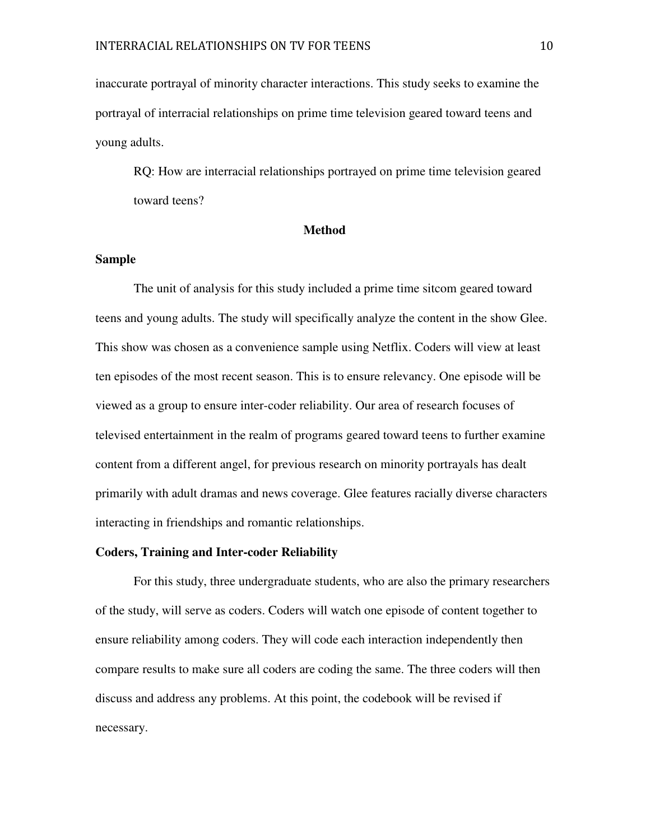inaccurate portrayal of minority character interactions. This study seeks to examine the portrayal of interracial relationships on prime time television geared toward teens and young adults.

RQ: How are interracial relationships portrayed on prime time television geared toward teens?

#### **Method**

## **Sample**

 The unit of analysis for this study included a prime time sitcom geared toward teens and young adults. The study will specifically analyze the content in the show Glee. This show was chosen as a convenience sample using Netflix. Coders will view at least ten episodes of the most recent season. This is to ensure relevancy. One episode will be viewed as a group to ensure inter-coder reliability. Our area of research focuses of televised entertainment in the realm of programs geared toward teens to further examine content from a different angel, for previous research on minority portrayals has dealt primarily with adult dramas and news coverage. Glee features racially diverse characters interacting in friendships and romantic relationships.

## **Coders, Training and Inter-coder Reliability**

For this study, three undergraduate students, who are also the primary researchers of the study, will serve as coders. Coders will watch one episode of content together to ensure reliability among coders. They will code each interaction independently then compare results to make sure all coders are coding the same. The three coders will then discuss and address any problems. At this point, the codebook will be revised if necessary.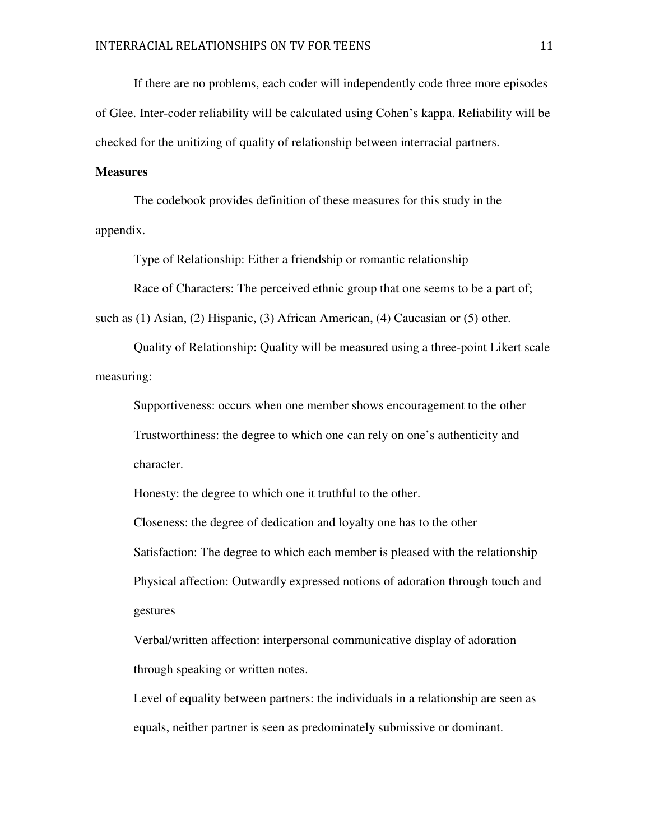If there are no problems, each coder will independently code three more episodes of Glee. Inter-coder reliability will be calculated using Cohen's kappa. Reliability will be checked for the unitizing of quality of relationship between interracial partners.

## **Measures**

The codebook provides definition of these measures for this study in the appendix.

Type of Relationship: Either a friendship or romantic relationship

Race of Characters: The perceived ethnic group that one seems to be a part of;

such as (1) Asian, (2) Hispanic, (3) African American, (4) Caucasian or (5) other.

 Quality of Relationship: Quality will be measured using a three-point Likert scale measuring:

Supportiveness: occurs when one member shows encouragement to the other Trustworthiness: the degree to which one can rely on one's authenticity and character.

Honesty: the degree to which one it truthful to the other.

Closeness: the degree of dedication and loyalty one has to the other Satisfaction: The degree to which each member is pleased with the relationship Physical affection: Outwardly expressed notions of adoration through touch and gestures

Verbal/written affection: interpersonal communicative display of adoration through speaking or written notes.

Level of equality between partners: the individuals in a relationship are seen as equals, neither partner is seen as predominately submissive or dominant.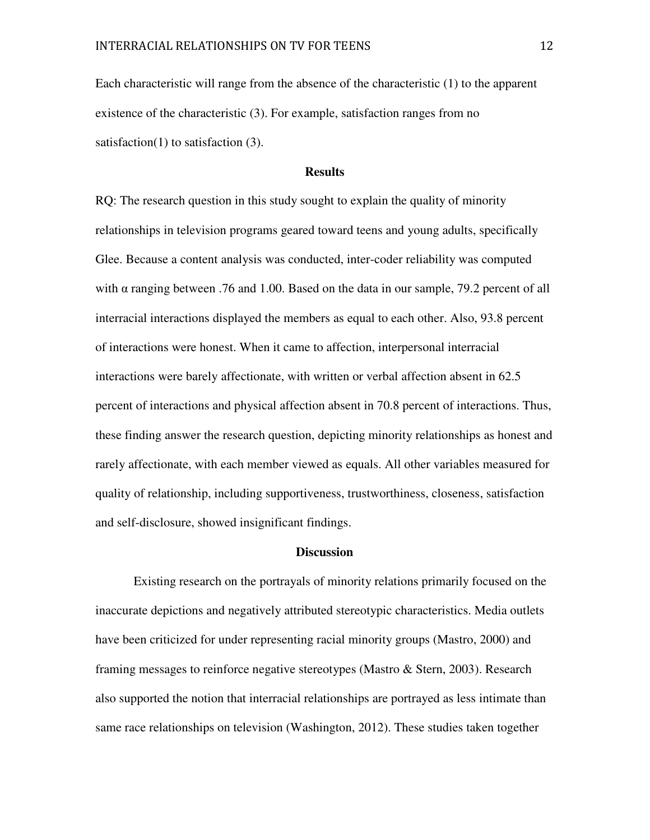Each characteristic will range from the absence of the characteristic (1) to the apparent existence of the characteristic (3). For example, satisfaction ranges from no satisfaction(1) to satisfaction  $(3)$ .

# **Results**

RQ: The research question in this study sought to explain the quality of minority relationships in television programs geared toward teens and young adults, specifically Glee. Because a content analysis was conducted, inter-coder reliability was computed with  $\alpha$  ranging between .76 and 1.00. Based on the data in our sample, 79.2 percent of all interracial interactions displayed the members as equal to each other. Also, 93.8 percent of interactions were honest. When it came to affection, interpersonal interracial interactions were barely affectionate, with written or verbal affection absent in 62.5 percent of interactions and physical affection absent in 70.8 percent of interactions. Thus, these finding answer the research question, depicting minority relationships as honest and rarely affectionate, with each member viewed as equals. All other variables measured for quality of relationship, including supportiveness, trustworthiness, closeness, satisfaction and self-disclosure, showed insignificant findings.

#### **Discussion**

Existing research on the portrayals of minority relations primarily focused on the inaccurate depictions and negatively attributed stereotypic characteristics. Media outlets have been criticized for under representing racial minority groups (Mastro, 2000) and framing messages to reinforce negative stereotypes (Mastro & Stern, 2003). Research also supported the notion that interracial relationships are portrayed as less intimate than same race relationships on television (Washington, 2012). These studies taken together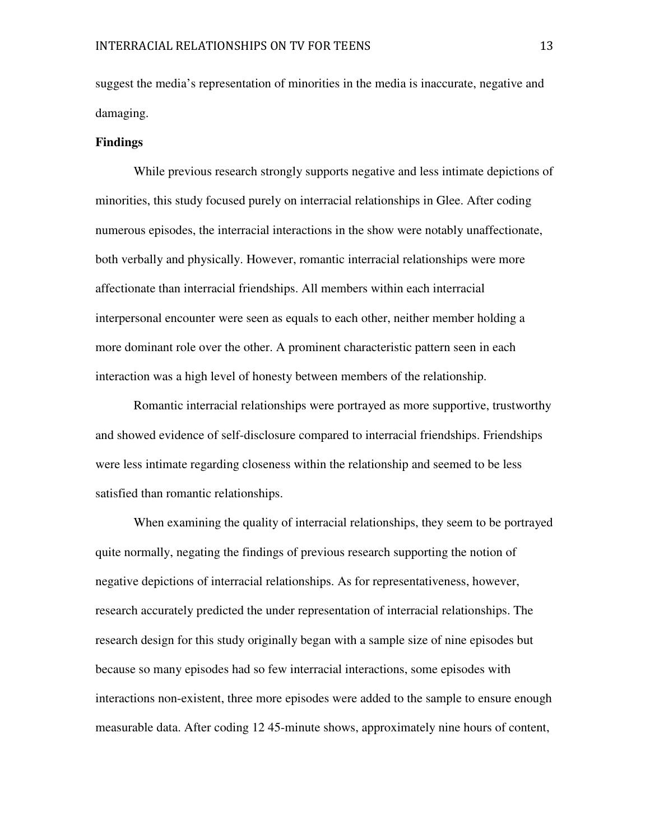suggest the media's representation of minorities in the media is inaccurate, negative and damaging.

## **Findings**

While previous research strongly supports negative and less intimate depictions of minorities, this study focused purely on interracial relationships in Glee. After coding numerous episodes, the interracial interactions in the show were notably unaffectionate, both verbally and physically. However, romantic interracial relationships were more affectionate than interracial friendships. All members within each interracial interpersonal encounter were seen as equals to each other, neither member holding a more dominant role over the other. A prominent characteristic pattern seen in each interaction was a high level of honesty between members of the relationship.

 Romantic interracial relationships were portrayed as more supportive, trustworthy and showed evidence of self-disclosure compared to interracial friendships. Friendships were less intimate regarding closeness within the relationship and seemed to be less satisfied than romantic relationships.

When examining the quality of interracial relationships, they seem to be portrayed quite normally, negating the findings of previous research supporting the notion of negative depictions of interracial relationships. As for representativeness, however, research accurately predicted the under representation of interracial relationships. The research design for this study originally began with a sample size of nine episodes but because so many episodes had so few interracial interactions, some episodes with interactions non-existent, three more episodes were added to the sample to ensure enough measurable data. After coding 12 45-minute shows, approximately nine hours of content,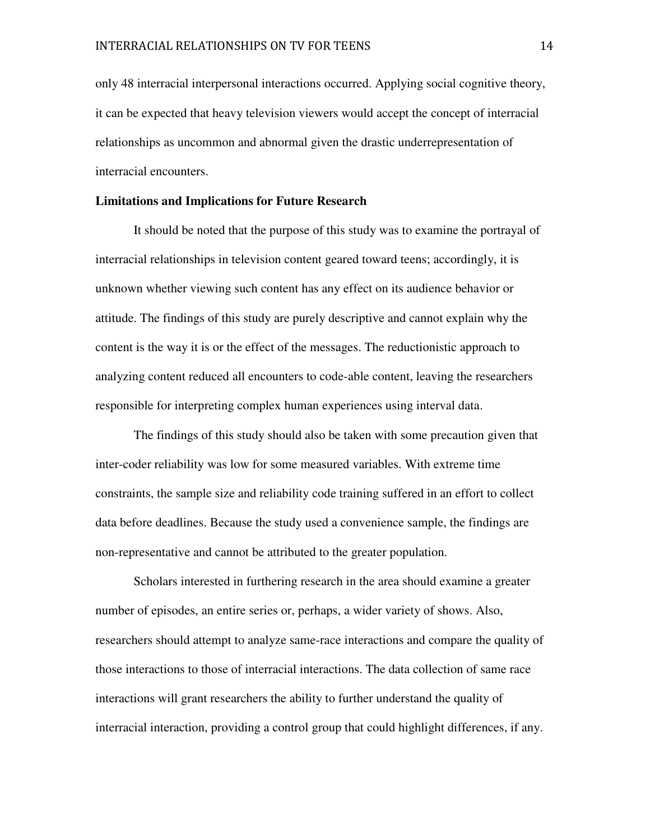only 48 interracial interpersonal interactions occurred. Applying social cognitive theory, it can be expected that heavy television viewers would accept the concept of interracial relationships as uncommon and abnormal given the drastic underrepresentation of interracial encounters.

## **Limitations and Implications for Future Research**

It should be noted that the purpose of this study was to examine the portrayal of interracial relationships in television content geared toward teens; accordingly, it is unknown whether viewing such content has any effect on its audience behavior or attitude. The findings of this study are purely descriptive and cannot explain why the content is the way it is or the effect of the messages. The reductionistic approach to analyzing content reduced all encounters to code-able content, leaving the researchers responsible for interpreting complex human experiences using interval data.

 The findings of this study should also be taken with some precaution given that inter-coder reliability was low for some measured variables. With extreme time constraints, the sample size and reliability code training suffered in an effort to collect data before deadlines. Because the study used a convenience sample, the findings are non-representative and cannot be attributed to the greater population.

 Scholars interested in furthering research in the area should examine a greater number of episodes, an entire series or, perhaps, a wider variety of shows. Also, researchers should attempt to analyze same-race interactions and compare the quality of those interactions to those of interracial interactions. The data collection of same race interactions will grant researchers the ability to further understand the quality of interracial interaction, providing a control group that could highlight differences, if any.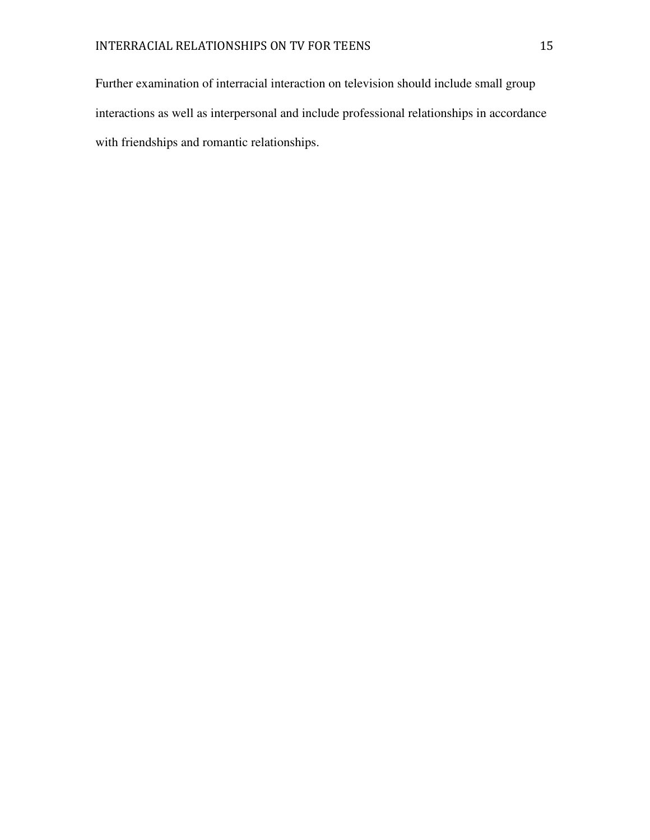Further examination of interracial interaction on television should include small group interactions as well as interpersonal and include professional relationships in accordance with friendships and romantic relationships.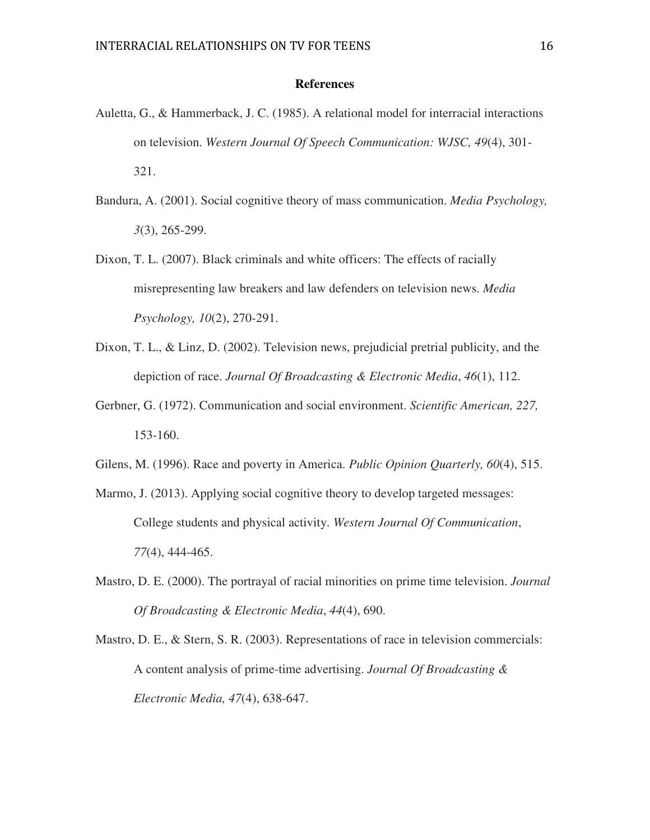## **References**

- Auletta, G., & Hammerback, J. C. (1985). A relational model for interracial interactions on television. *Western Journal Of Speech Communication: WJSC, 49*(4), 301- 321.
- Bandura, A. (2001). Social cognitive theory of mass communication. *Media Psychology, 3*(3), 265-299.
- Dixon, T. L. (2007). Black criminals and white officers: The effects of racially misrepresenting law breakers and law defenders on television news. *Media Psychology, 10*(2), 270-291.
- Dixon, T. L., & Linz, D. (2002). Television news, prejudicial pretrial publicity, and the depiction of race. *Journal Of Broadcasting & Electronic Media*, *46*(1), 112.
- Gerbner, G. (1972). Communication and social environment. *Scientific American, 227,*  153-160.
- Gilens, M. (1996). Race and poverty in America. *Public Opinion Quarterly, 60*(4), 515.
- Marmo, J. (2013). Applying social cognitive theory to develop targeted messages: College students and physical activity. *Western Journal Of Communication*, *77*(4), 444-465.
- Mastro, D. E. (2000). The portrayal of racial minorities on prime time television. *Journal Of Broadcasting & Electronic Media*, *44*(4), 690.
- Mastro, D. E., & Stern, S. R. (2003). Representations of race in television commercials: A content analysis of prime-time advertising. *Journal Of Broadcasting & Electronic Media, 47*(4), 638-647.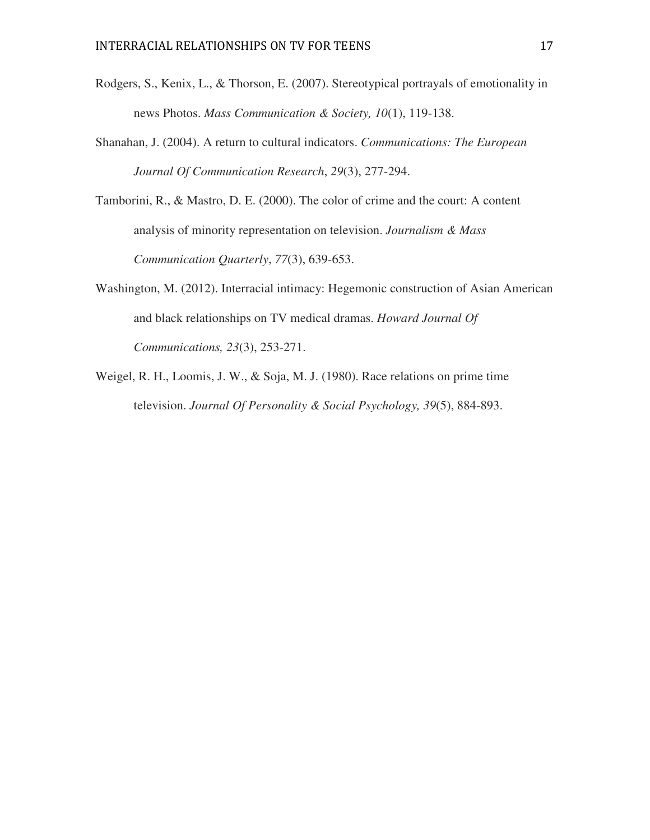- Rodgers, S., Kenix, L., & Thorson, E. (2007). Stereotypical portrayals of emotionality in news Photos. *Mass Communication & Society, 10*(1), 119-138.
- Shanahan, J. (2004). A return to cultural indicators. *Communications: The European Journal Of Communication Research*, *29*(3), 277-294.
- Tamborini, R., & Mastro, D. E. (2000). The color of crime and the court: A content analysis of minority representation on television. *Journalism & Mass Communication Quarterly*, *77*(3), 639-653.
- Washington, M. (2012). Interracial intimacy: Hegemonic construction of Asian American and black relationships on TV medical dramas. *Howard Journal Of Communications, 23*(3), 253-271.
- Weigel, R. H., Loomis, J. W., & Soja, M. J. (1980). Race relations on prime time television. *Journal Of Personality & Social Psychology, 39*(5), 884-893.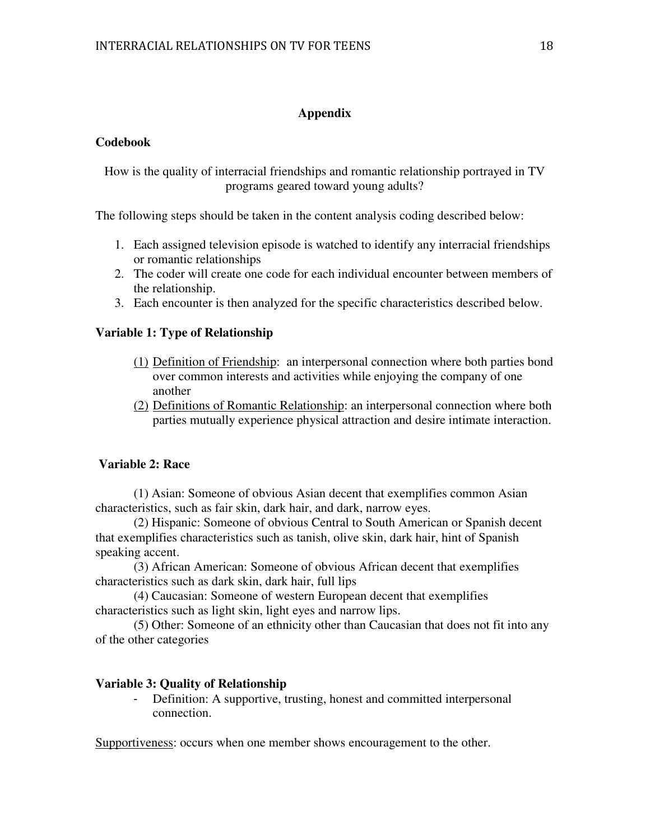# **Appendix**

# **Codebook**

How is the quality of interracial friendships and romantic relationship portrayed in TV programs geared toward young adults?

The following steps should be taken in the content analysis coding described below:

- 1. Each assigned television episode is watched to identify any interracial friendships or romantic relationships
- 2. The coder will create one code for each individual encounter between members of the relationship.
- 3. Each encounter is then analyzed for the specific characteristics described below.

# **Variable 1: Type of Relationship**

- (1) Definition of Friendship: an interpersonal connection where both parties bond over common interests and activities while enjoying the company of one another
- (2) Definitions of Romantic Relationship: an interpersonal connection where both parties mutually experience physical attraction and desire intimate interaction.

# **Variable 2: Race**

(1) Asian: Someone of obvious Asian decent that exemplifies common Asian characteristics, such as fair skin, dark hair, and dark, narrow eyes.

 (2) Hispanic: Someone of obvious Central to South American or Spanish decent that exemplifies characteristics such as tanish, olive skin, dark hair, hint of Spanish speaking accent.

 (3) African American: Someone of obvious African decent that exemplifies characteristics such as dark skin, dark hair, full lips

 (4) Caucasian: Someone of western European decent that exemplifies characteristics such as light skin, light eyes and narrow lips.

 (5) Other: Someone of an ethnicity other than Caucasian that does not fit into any of the other categories

# **Variable 3: Quality of Relationship**

Definition: A supportive, trusting, honest and committed interpersonal connection.

Supportiveness: occurs when one member shows encouragement to the other.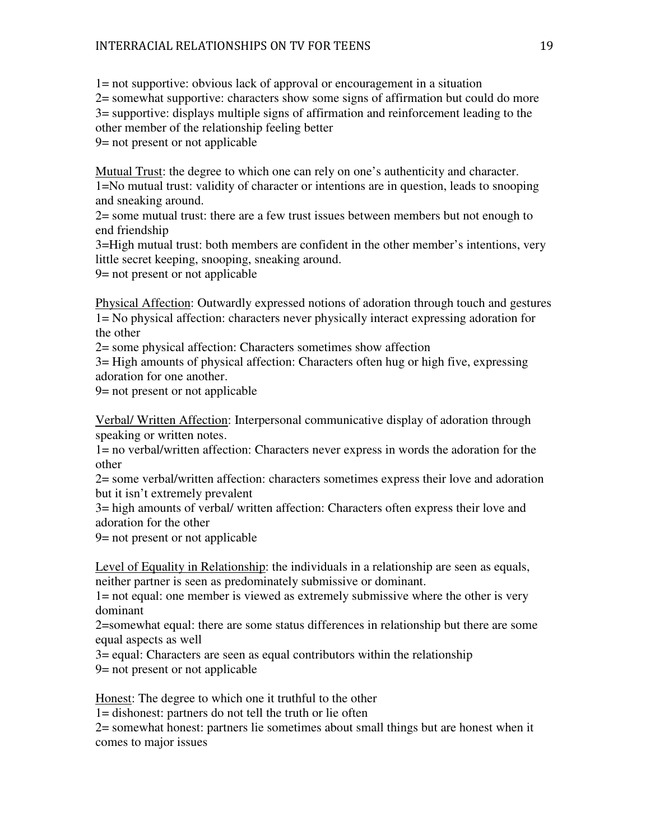1= not supportive: obvious lack of approval or encouragement in a situation

2= somewhat supportive: characters show some signs of affirmation but could do more 3= supportive: displays multiple signs of affirmation and reinforcement leading to the other member of the relationship feeling better

9= not present or not applicable

Mutual Trust: the degree to which one can rely on one's authenticity and character. 1=No mutual trust: validity of character or intentions are in question, leads to snooping and sneaking around.

2= some mutual trust: there are a few trust issues between members but not enough to end friendship

3=High mutual trust: both members are confident in the other member's intentions, very little secret keeping, snooping, sneaking around.

9= not present or not applicable

Physical Affection: Outwardly expressed notions of adoration through touch and gestures 1= No physical affection: characters never physically interact expressing adoration for the other

2= some physical affection: Characters sometimes show affection

3= High amounts of physical affection: Characters often hug or high five, expressing adoration for one another.

9= not present or not applicable

Verbal/ Written Affection: Interpersonal communicative display of adoration through speaking or written notes.

1= no verbal/written affection: Characters never express in words the adoration for the other

2= some verbal/written affection: characters sometimes express their love and adoration but it isn't extremely prevalent

3= high amounts of verbal/ written affection: Characters often express their love and adoration for the other

9= not present or not applicable

Level of Equality in Relationship: the individuals in a relationship are seen as equals, neither partner is seen as predominately submissive or dominant.

1= not equal: one member is viewed as extremely submissive where the other is very dominant

2=somewhat equal: there are some status differences in relationship but there are some equal aspects as well

3= equal: Characters are seen as equal contributors within the relationship

9= not present or not applicable

Honest: The degree to which one it truthful to the other

1= dishonest: partners do not tell the truth or lie often

2= somewhat honest: partners lie sometimes about small things but are honest when it comes to major issues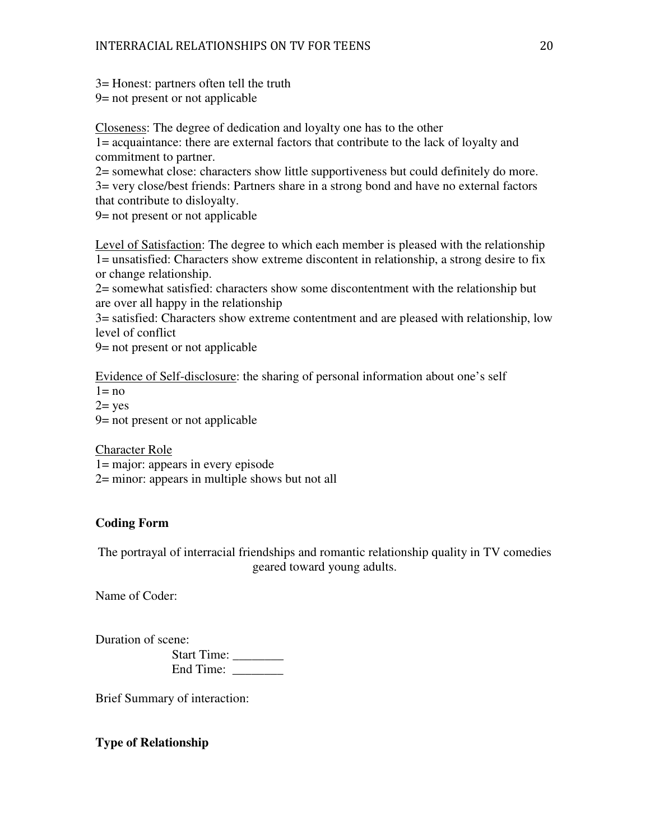3= Honest: partners often tell the truth

9= not present or not applicable

Closeness: The degree of dedication and loyalty one has to the other

1= acquaintance: there are external factors that contribute to the lack of loyalty and commitment to partner.

2= somewhat close: characters show little supportiveness but could definitely do more. 3= very close/best friends: Partners share in a strong bond and have no external factors that contribute to disloyalty.

9= not present or not applicable

Level of Satisfaction: The degree to which each member is pleased with the relationship 1= unsatisfied: Characters show extreme discontent in relationship, a strong desire to fix or change relationship.

2= somewhat satisfied: characters show some discontentment with the relationship but are over all happy in the relationship

3= satisfied: Characters show extreme contentment and are pleased with relationship, low level of conflict

9= not present or not applicable

Evidence of Self-disclosure: the sharing of personal information about one's self

 $1 = no$ 

 $2 = yes$ 

9= not present or not applicable

Character Role

1= major: appears in every episode

2= minor: appears in multiple shows but not all

# **Coding Form**

The portrayal of interracial friendships and romantic relationship quality in TV comedies geared toward young adults.

Name of Coder:

Duration of scene: Start Time: \_\_\_\_\_\_\_\_ End Time: \_\_\_\_\_\_\_\_

Brief Summary of interaction:

**Type of Relationship**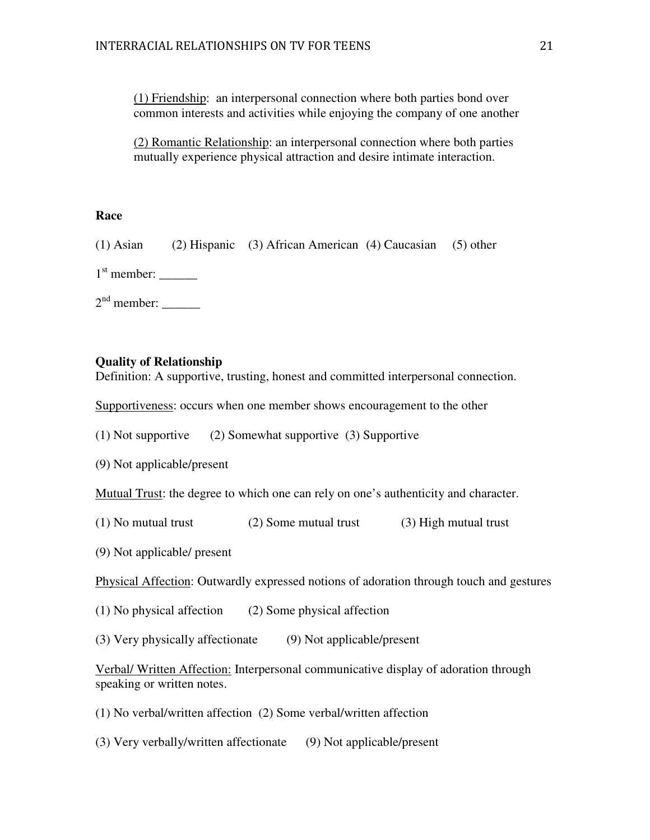(1) Friendship: an interpersonal connection where both parties bond over common interests and activities while enjoying the company of one another

(2) Romantic Relationship: an interpersonal connection where both parties mutually experience physical attraction and desire intimate interaction.

# **Race**

(1) Asian (2) Hispanic (3) African American (4) Caucasian (5) other

 $1<sup>st</sup>$  member:  $\_\_$ 

 $2<sup>nd</sup>$  member:  $\_\_$ 

# **Quality of Relationship**

Definition: A supportive, trusting, honest and committed interpersonal connection.

Supportiveness: occurs when one member shows encouragement to the other

(1) Not supportive (2) Somewhat supportive (3) Supportive

(9) Not applicable/present

Mutual Trust: the degree to which one can rely on one's authenticity and character.

(1) No mutual trust (2) Some mutual trust (3) High mutual trust

(9) Not applicable/ present

Physical Affection: Outwardly expressed notions of adoration through touch and gestures

(1) No physical affection (2) Some physical affection

(3) Very physically affectionate (9) Not applicable/present

Verbal/ Written Affection: Interpersonal communicative display of adoration through speaking or written notes.

(1) No verbal/written affection (2) Some verbal/written affection

(3) Very verbally/written affectionate (9) Not applicable/present